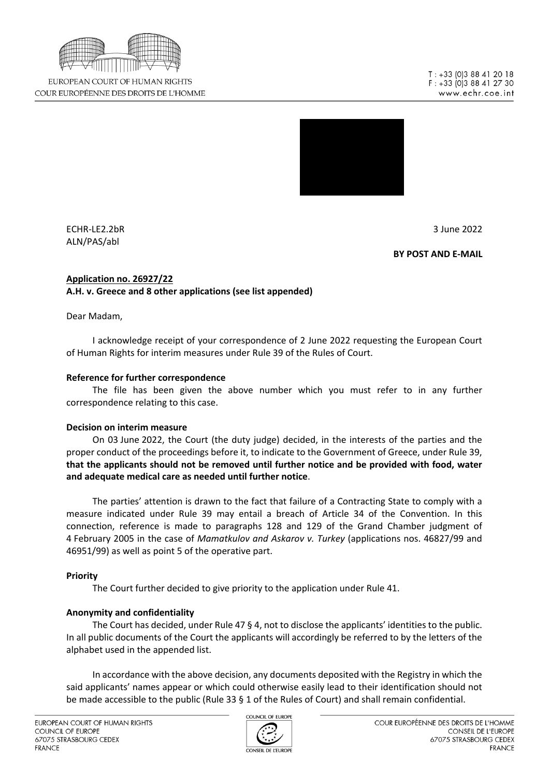

EUROPEAN COURT OF HUMAN RIGHTS COUR EUROPÉENNE DES DROITS DE L'HOMME



ECHR-LE2.2bR 3 June 2022 ALN/PAS/abl

BY POST AND E-MAIL

#### Application no. 26927/22 A.H. v. Greece and 8 other applications (see list appended)

Dear Madam,

I acknowledge receipt of your correspondence of 2 June 2022 requesting the European Court of Human Rights for interim measures under Rule 39 of the Rules of Court.

# Reference for further correspondence

The file has been given the above number which you must refer to in any further correspondence relating to this case.

# Decision on interim measure

On 03 June 2022, the Court (the duty judge) decided, in the interests of the parties and the proper conduct of the proceedings before it, to indicate to the Government of Greece, under Rule 39, that the applicants should not be removed until further notice and be provided with food, water and adequate medical care as needed until further notice.

The parties' attention is drawn to the fact that failure of a Contracting State to comply with a measure indicated under Rule 39 may entail a breach of Article 34 of the Convention. In this connection, reference is made to paragraphs 128 and 129 of the Grand Chamber judgment of 4 February 2005 in the case of Mamatkulov and Askarov v. Turkey (applications nos. 46827/99 and 46951/99) as well as point 5 of the operative part.

# Priority

The Court further decided to give priority to the application under Rule 41.

# Anonymity and confidentiality

The Court has decided, under Rule 47 § 4, not to disclose the applicants' identities to the public. In all public documents of the Court the applicants will accordingly be referred to by the letters of the alphabet used in the appended list.

In accordance with the above decision, any documents deposited with the Registry in which the said applicants' names appear or which could otherwise easily lead to their identification should not be made accessible to the public (Rule 33 § 1 of the Rules of Court) and shall remain confidential.